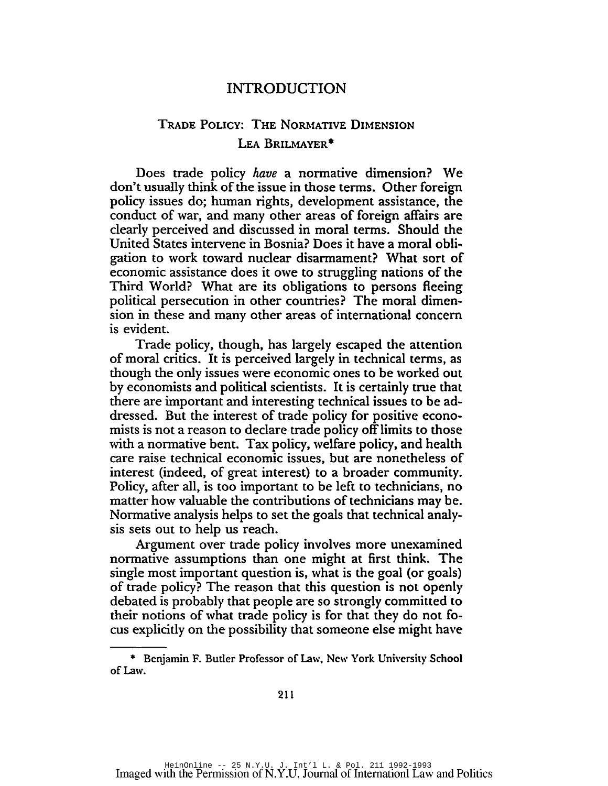## INTRODUCTION

## TRADE POLICY: THE NORMATIVE DIMENSION LEA BRILMAYER\*

Does trade policy *have* a normative dimension? We don't usually think of the issue in those terms. Other foreign policy issues do; human rights, development assistance, the conduct of war, and many other areas of foreign affairs are clearly perceived and discussed in moral terms. Should the United States intervene in Bosnia? Does it have a moral obli· gation to work toward nuclear disarmament? What sort of economic assistance does it owe to struggling nations of the Third World? What are its obligations to persons fleeing political persecution in other countries? The moral dimen· sion in these and many other areas of international concern is evident.

Trade policy, though, has largely escaped the attention of moral critics. It is perceived largely in technical terms, as though the only issues were economic ones to be worked out by economists and political scientists. It is certainly true that there are important and interesting technical issues to be ad· dressed. But the interest of trade policy for positive econo· mists is not a reason to declare trade policy offlimits to those with a normative bent. Tax policy, welfare policy, and health care raise technical economic issues, but are nonetheless of interest (indeed, of great interest) to a broader community. Policy, after all, is too important to be left to technicians, no matter how valuable the contributions of technicians may be. Normative analysis helps to set the goals that technical analysis sets out to help us reach.

Argument over trade policy involves more unexamined normative assumptions than one might at first think. The single most important question is, what is the goal (or goals) of trade policy? The reason that this question is not openly debated is probably that people are so strongly committed to their notions of what trade policy is for that they do not focus explicitly on the possibility that someone else might have

<sup>\*</sup> Benjamin F. Butler Professor of Law, Ncw York Univcrsity School of Law.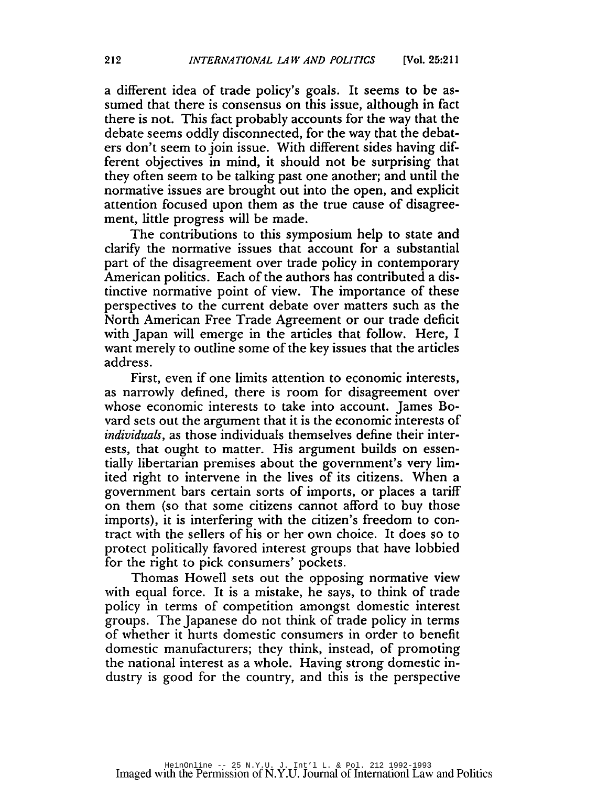a different idea of trade policy's goals. It seems to be assumed that there is consensus on this issue, although in fact there is not. This fact probably accounts for the way that the debate seems oddly disconnected, for the way that the debaters don't seem to join issue. With different sides having different objectives in mind, it should not be surprising that they often seem to be talking past one another; and until the normative issues are brought out into the open, and explicit attention focused upon them as the true cause of disagreement, little progress will be made.

The contributions to this symposium help to state and clarify the normative issues that account for a substantial part of the disagreement over trade policy in contemporary American politics. Each of the authors has contributed a distinctive normative point of view. The importance of these perspectives to the current debate over matters such as the North American Free Trade Agreement or our trade deficit with Japan will emerge in the articles that follow. Here, I want merely to outline some of the key issues that the articles address.

First, even if one limits attention to economic interests, as narrowly defined, there is room for disagreement over whose economic interests to take into account. james Bovard sets out the argument that it is the economic interests of *individuals,* as those individuals themselves define their interests, that ought to matter. His argument builds on essentially libertarian premises about the government's very limited right to intervene in the lives of its citizens. When a government bars certain sorts of imports, or places a tariff on them (so that some citizens cannot afford to buy those imports), it is interfering with the citizen's freedom to contract with the sellers of his or her own choice. It does so to protect politically favored interest groups that have lobbied for the right to pick consumers' pockets.

Thomas Howell sets out the opposing normative view with equal force. It is a mistake, he says, to think of trade policy in terms of competition amongst domestic interest groups. The japanese do not think of trade policy in terms of whether it hurts domestic consumers in order to benefit domestic manufacturers; they think, instead, of promoting the national interest as a whole. Having strong domestic industry is good for the country, and this is the perspective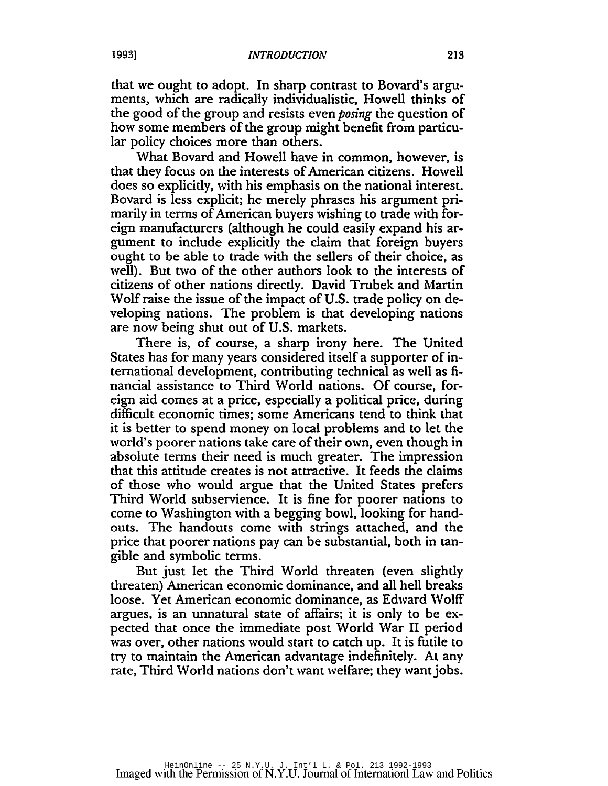that we ought to adopt. In sharp contrast to Bovard's arguments, which are radically individualistic, Howell thinks of the good of the group and resists even *posing* the question of how some members of the group might benefit from particular policy choices more than others.

What Bovard and Howell have in common, however, is that they focus on the interests of American citizens. Howell does so explicitly, with his emphasis on the national interest. Bovard is less explicit; he merely phrases his argument primarily in terms of American buyers wishing to trade with foreign manufacturers (although he could easily expand his argument to include explicitly the claim that foreign buyers ought to be able to trade with the sellers of their choice, as well). But two of the other authors look to the interests of citizens of other nations directly. David Trubek and Martin Wolf raise the issue of the impact of U.S. trade policy on developing nations. The problem is that developing nations are now being shut out of U.S. markets.

There is, of course, a sharp irony here. The United States has for many years considered itself a supporter of international development, contributing technical as well as financial assistance to Third World nations. Of course, foreign aid comes at a price, especially a political price, during difficult economic times; some Americans tend to think that it is better to spend money on local problems and to let the world's poorer nations take care of their own, even though in absolute terms their need is much greater. The impression that this attitude creates is not attractive. It feeds the claims of those who would argue that the United States prefers Third World subservience. It is fine for poorer nations to come to Washington with a begging bowl, looking for handouts. The handouts come with strings attached, and the price that poorer nations pay can be substantial, both in tangible and symbolic terms.

But just let the Third World threaten (even slightly threaten) American economic dominance, and all hell breaks loose. Yet American economic dominance, as Edward Wolff argues, is an unnatural state of affairs; it is only to be expected that once the immediate post World War II period was over, other nations would start to catch up. It is futile to try to maintain the American advantage indefinitely. At any rate, Third World nations don't want welfare; they want jobs.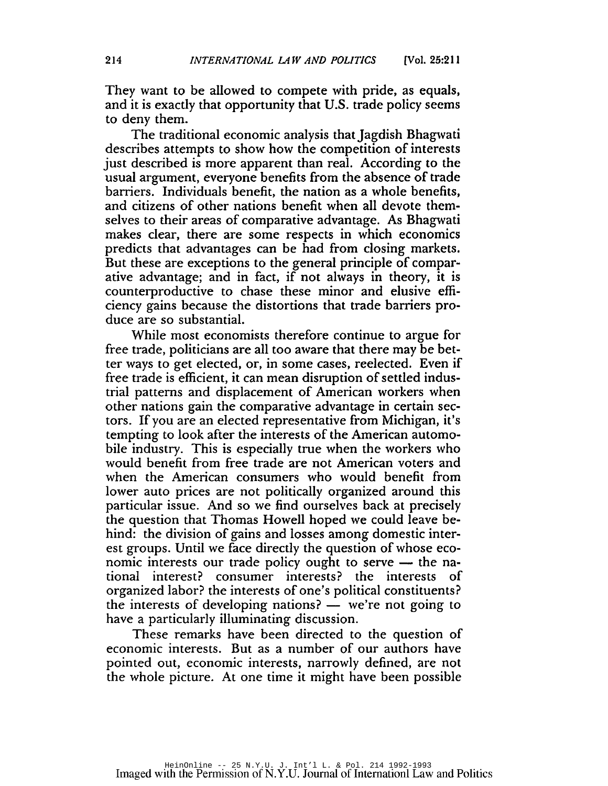They want to be allowed to compete with pride, as equals, and it is exactly that opportunity that U.S. trade policy seems to deny them.

The traditional economic analysis that Jagdish Bhagwati describes attempts to show how the competition of interests just described is more apparent than real. According to the usual argument, everyone benefits from the absence of trade barriers. Individuals benefit, the nation as a whole benefits, and citizens of other nations benefit when all devote themselves to their areas of comparative advantage. As Bhagwati makes clear, there are some respects in which economics predicts that advantages can be had from closing markets. But these are exceptions to the general principle of comparative advantage; and in fact, if not always in theory, it is counterproductive to chase these minor and elusive efficiency gains because the distortions that trade barriers produce are so substantial.

While most economists therefore continue to argue for free trade, politicians are all too aware that there may be better ways to get elected, or, in some cases, reelected. Even if free trade is efficient, it can mean disruption of settled industrial patterns and displacement of American workers when other nations gain the comparative advantage in certain sectors. If you are an elected representative from Michigan, it's tempting to look after the interests of the American automobile industry. This is especially true when the workers who would benefit from free trade are not American voters and when the American consumers who would benefit from lower auto prices are not politically organized around this particular issue. And so we find ourselves back at precisely the question that Thomas Howell hoped we could leave behind: the division of gains and losses among domestic interest groups. Until we face directly the question of whose economic interests our trade policy ought to serve  $-$  the national interest? consumer interests? the interests of organized labor? the interests of one's political constituents? the interests of developing nations?  $-$  we're not going to have a particularly illuminating discussion.

These remarks have been directed to the question of economic interests. But as a number of our authors have pointed out, economic interests, narrowly defined, are not the whole picture. At one time it might have been possible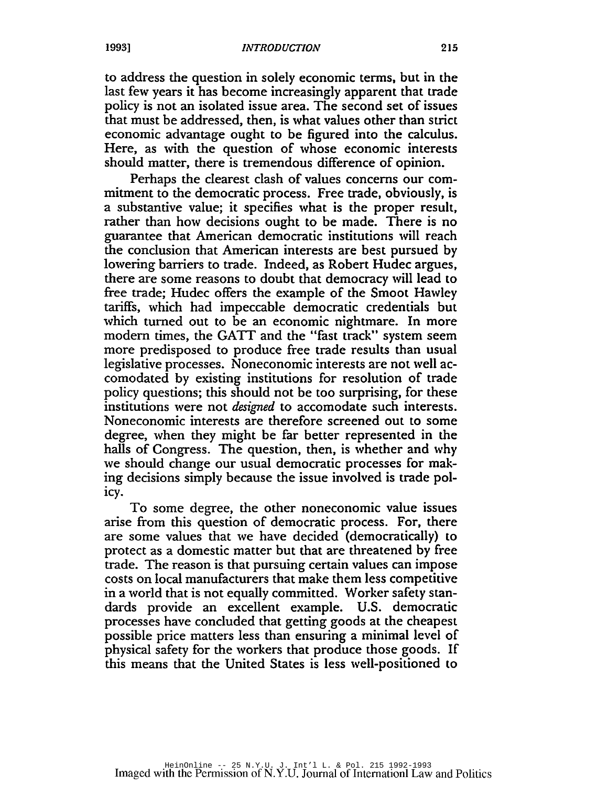to address the question in solely economic terms, but in the last few years it has become increasingly apparent that trade policy is not an isolated issue area. The second set of issues that must be addressed, then, is what values other than strict economic advantage ought to be figured into the calculus. Here, as with the question of whose economic interests should matter, there is tremendous difference of opinion.

Perhaps the clearest clash of values concerns our commitment to the democratic process. Free trade, obviously, is a substantive value; it specifies what is the proper result, rather than how decisions ought to be made. There is no guarantee that American democratic institutions will reach the conclusion that American interests are best pursued by lowering barriers to trade. Indeed, as Robert Hudec argues, there are some reasons to doubt that democracy will lead to free trade; Hudec offers the example of the Smoot Hawley tariffs, which had impeccable democratic credentials but which turned out to be an economic nightmare. In more modern times, the GATT and the "fast track" system seem more predisposed to produce free trade results than usual legislative processes. Noneconomic interests are not well accomodated by existing institutions for resolution of trade policy questions; this should not be too surprising, for these institutions were not *designed* to accomodate such interests. Noneconomic interests are therefore screened out to some degree, when they might be far better represented in the halls of Congress. The question, then, is whether and why we should change our usual democratic processes for mak ing decisions simply because the issue involved is trade policy.

To some degree, the other noneconomic value issues arise from this question of democratic process. For, there are some values that we have decided (democratically) to protect as a domestic matter but that are threatened by free trade. The reason is that pursuing certain values can impose costs on local manufacturers that make them less competitive in a world that is not equally committed. Worker safety standards provide an excellent example. U.S. democratic processes have concluded that getting goods at the cheapest possible price matters less than ensuring a minimal level of physical safety for the workers that produce those goods. If this means that the United States is less well-positioned to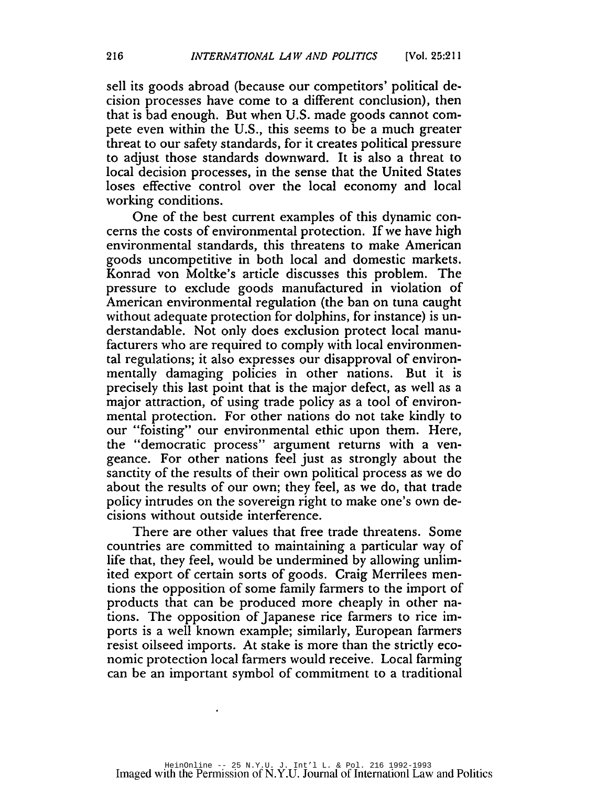sell its goods abroad (because our competitors' political decision processes have come to a different conclusion), then that is bad enough. But when U.S. made goods cannot compete even within the U.S., this seems to be a much greater threat to our safety standards, for it creates political pressure to adjust those standards downward. It is also a threat to local decision processes, in the sense that the United States loses effective control over the local economy and local working conditions.

One of the best current examples of this dynamic concerns the costs of environmental protection. If we have high environmental standards, this threatens to make American goods uncompetitive in both local and domestic markets. Konrad von Moltke's article discusses this problem. The pressure to exclude goods manufactured in violation of American environmental regulation (the ban on tuna caught without adequate protection for dolphins, for instance) is understandable. Not only does exclusion protect local manufacturers who are required to comply with local environmental regulations; it also expresses our disapproval of environmentally damaging policies in other nations. But it is precisely this last point that is the major defect, as well as a major attraction, of using trade policy as a tool of environmental protection. For other nations do not take kindly to our "foisting" our environmental ethic upon them. Here, the "democratic process" argument returns with a vengeance. For other nations feel just as strongly about the sanctity of the results of their own political process as we do about the results of our own; they feel, as we do, that trade policy intrudes on the sovereign right to make one's own decisions without outside interference.

There are other values that free trade threatens. Some countries are committed to maintaining a particular way of life that, they feel, would be undermined by allowing unlimited export of certain sorts of goods. Craig Merrilees mentions the opposition of some family farmers to the import of products that can be produced more cheaply in other nations. The opposition of Japanese rice farmers to rice imports is a well known example; similarly, European farmers resist oilseed imports. At stake is more than the strictly economic protection local farmers would receive. Local farming can be an important symbol of commitment to a traditional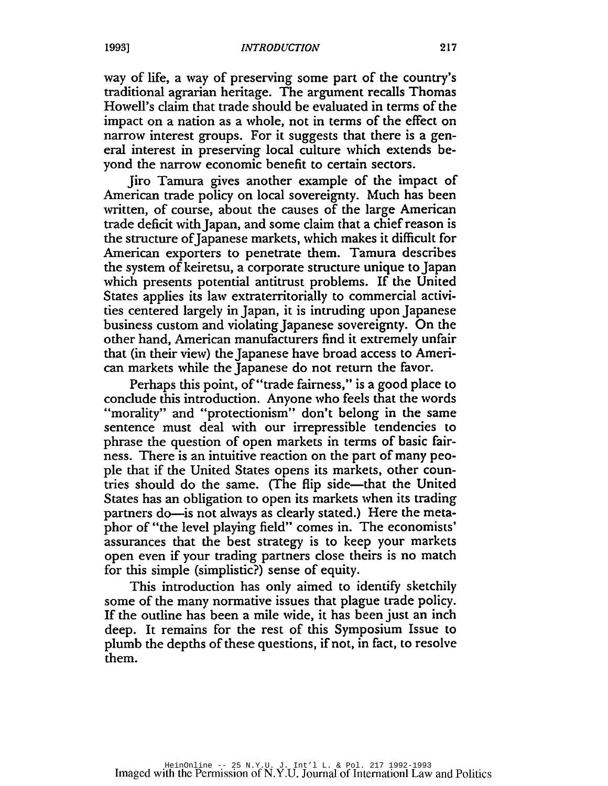way of life, a way of preserving some part of the country's traditional agrarian heritage. The argument recalls Thomas Howell's claim that trade should be evaluated in terms of the impact on a nation as a whole, not in terms of the effect on narrow interest groups. For it suggests that there is a general interest in preserving local culture which extends beyond the narrow economic benefit to certain sectors.

Jiro Tamura gives another example of the impact of American trade policy on local sovereignty. Much has been written, of course, about the causes of the large American trade deficit with Japan, and some claim that a chief reason is the structure ofJapanese markets, which makes it difficult for American exporters to penetrate them. Tamura describes the system of keiretsu, a corporate structure unique to Japan which presents potential antitrust problems. If the United States applies its law extraterritorially to commercial activities centered largely in Japan, it is intruding upon Japanese business custom and violating Japanese sovereignty. On the other hand, American manufacturers find it extremely unfair that (in their view) the Japanese have broad access to American markets while the Japanese do not return the favor.

Perhaps this point, of "trade fairness," is a good place to conclude this introduction. Anyone who feels that the words "morality" and "protectionism" don't belong in the same sentence must deal with our irrepressible tendencies to phrase the question of open markets in terms of basic fairness. There is an intuitive reaction on the part of many people that if the United States opens its markets, other countries should do the same. (The flip side-that the United States has an obligation to open its markets when its trading partners do—is not always as clearly stated.) Here the metaphor of "the level playing field" comes in. The economists' assurances that the best strategy is to keep your markets open even if your trading partners close theirs is no match for this simple (simplistic?) sense of equity.

This introduction has only aimed to identify sketchily some of the many normative issues that plague trade policy. If the outline has been a mile wide, it has been just an inch deep. It remains for the rest of this Symposium Issue to plumb the depths of these questions, if not, in fact, to resolve them.